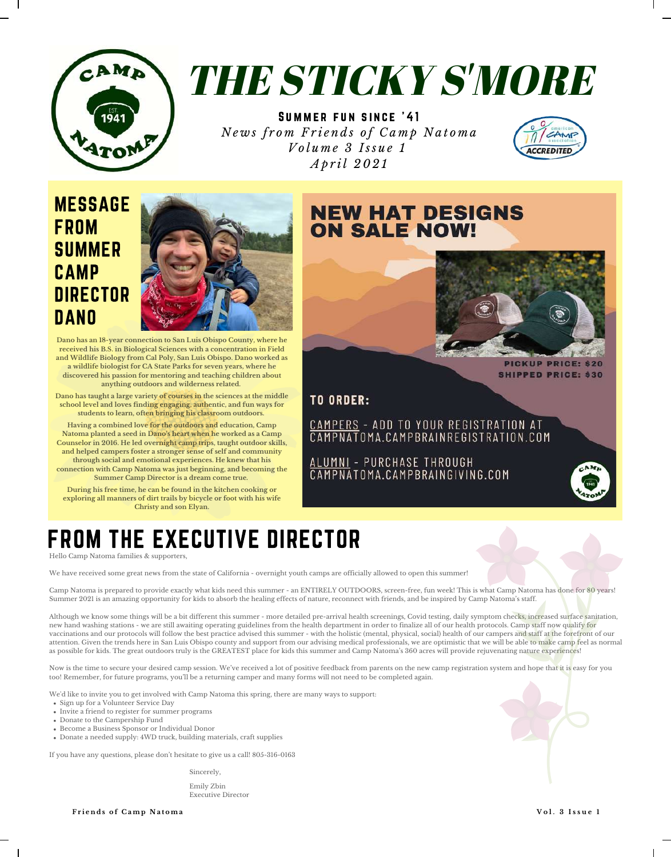

# THE STICKY S'MORE

SUMMER FUN SINCE '41 News from Friends of Camp Natoma *V o l u m e 3 I ss u e 1 A p r il 202 1*



## MESSAGE **FROM** SUMMER CAMP **DIRECTOR DANO**



**Dano has an 18-year connection to San Luis Obispo County, where he received his B.S. in Biological Sciences with a concentration in Field and Wildlife Biology from Cal Poly, San Luis Obispo. Dano worked as a wildlife biologist for CA State Parks for seven years, where he discovered his passion for mentoring and teaching children about anything outdoors and wilderness related.**

**Dano has taught a large variety of courses in the sciences at the middle school level and loves finding engaging, authentic, and fun ways for students to learn, often bringing his classroom outdoors.**

**Having a combined love for the outdoors and education, Camp Natoma planted a seed in Dano's heart when he worked as a Camp Counselor in 2016. He led overnight camp trips, taught outdoor skills, and helped campers foster a stronger sense of self and community through social and emotional experiences. He knew that his connection with Camp Natoma was just beginning, and becoming the Summer Camp Director is a dream come true.**

**During his free time, he can be found in the kitchen cooking or exploring all manners of dirt trails by bicycle or foot with his wife Christy and son Elyan.**

## **NEW HAT DESIGNS ON SALE NOW!**



**SHIPPED PRICE: \$30** 

**TO ORDER:** 

CAMPERS - ADD TO YOUR REGISTRATION AT CAMPNATOMA.CAMPBRAINREGISTRATION.COM

ALUMNI - PURCHASE THROUGH<br>CAMPNATOMA.CAMPBRAINGIVING.COM



## FROM THE EXECUTIVE DIRECTOR

Hello Camp Natoma families & supporters,

We have received some great news from the state of California - overnight youth camps are officially allowed to open this summer!

Camp Natoma is prepared to provide exactly what kids need this summer - an ENTIRELY OUTDOORS, screen-free, fun week! This is what Camp Natoma has done for 80 years! Summer 2021 is an amazing opportunity for kids to absorb the healing effects of nature, reconnect with friends, and be inspired by Camp Natoma's staff.

Although we know some things will be a bit different this summer - more detailed pre-arrival health screenings, Covid testing, daily symptom checks, increased surface sanitation, new hand washing stations - we are still awaiting operating guidelines from the health department in order to finalize all of our health protocols. Camp staff now qualify for vaccinations and our protocols will follow the best practice advised this summer - with the holistic (mental, physical, social) health of our campers and staff at the forefront of our attention. Given the trends here in San Luis Obispo county and support from our advising medical professionals, we are optimistic that we will be able to make camp feel as normal as possible for kids. The great outdoors truly is the GREATEST place for kids this summer and Camp Natoma's 360 acres will provide rejuvenating nature experiences!

Now is the time to secure your desired camp session. We've received a lot of positive feedback from parents on the new camp registration system and hope that it is easy for you too! Remember, for future programs, you'll be a returning camper and many forms will not need to be completed again.

We 'd like to invite you to get involved with Camp Natoma this spring, there are many ways to support:

- Sign up for a Volunteer Service Day
- Invite a friend to register for summer programs
- Donate to the Campership Fund
- Become a Business Sponsor or Individual Donor
- Donate a needed supply: 4WD truck, building materials, craft supplies

If you have any questions, please don 't hesitate to give us a call! 805-316-0163

Sincerely,

Emily Zbin Executive Director

**F r i e n d s o f C amp N a t oma V o l . 3 I s s u e 1**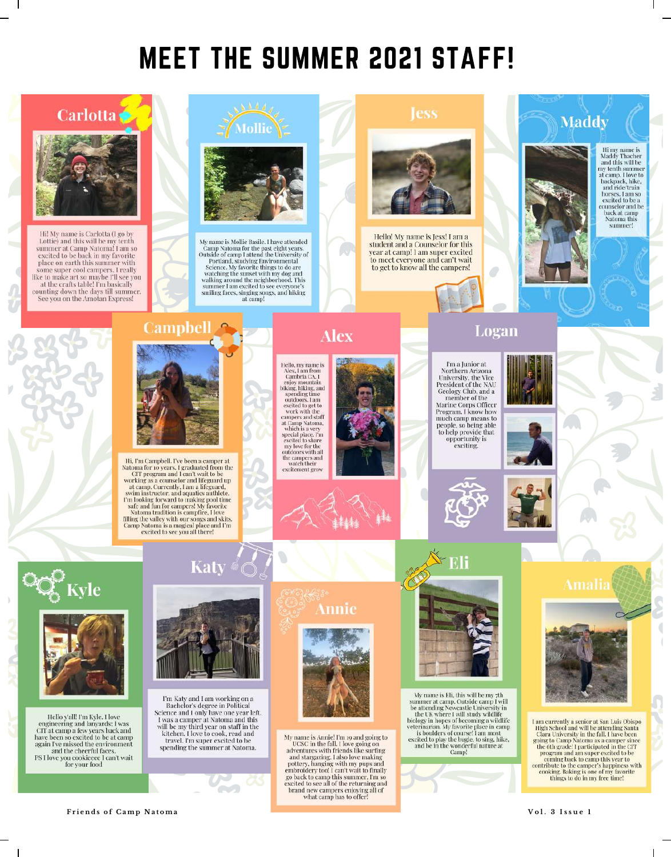## **MEET THE SUMMER 2021 STAFF!**



Vol. 3 Issue 1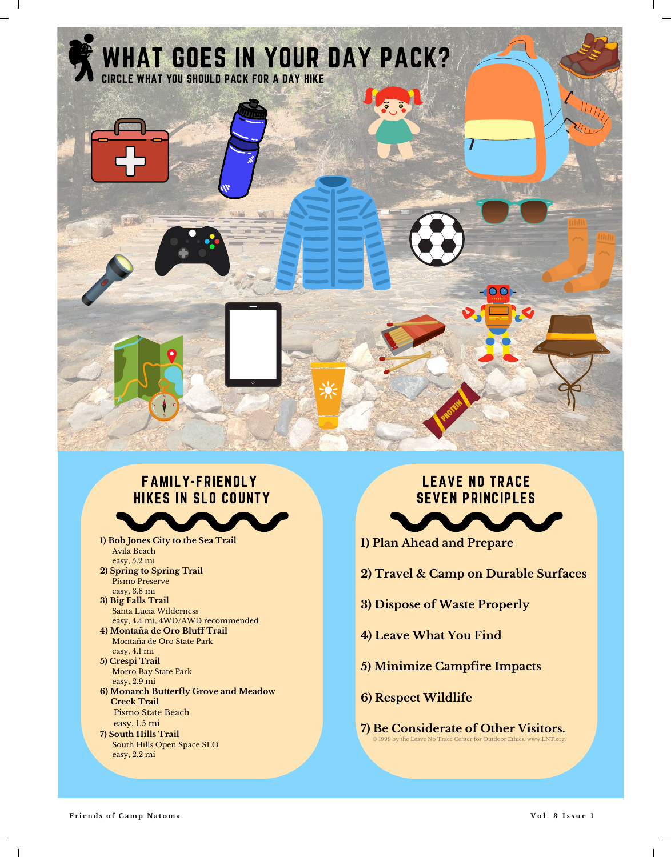

### FAMILY-FRIENDLY HIKES IN SLO COUNTY

**1) Bob Jones City to the Sea Trail** Avila Beach easy, 5.2 mi **2) Spring to Spring Trail** Pismo Preserve easy, 3.8 mi **3) Big Falls Trail** Santa Lucia Wilderness easy, 4.4 mi, 4WD/AWD recommended **4) Montaña de Oro Bluff Trail** Montaña de Oro State Park easy, 4.1 mi

#### **5) Crespi Trail** Morro Bay State Park easy, 2.9 mi

- **6) Monarch Butterfly Grove and Meadow Creek Trail** Pismo State Beach
- easy, 1.5 mi **7) South Hills Trail** South Hills Open Space SLO easy, 2.2 mi

#### LEAVE NO TRACE SEVEN PRINCIPLES

- **1) Plan Ahead and Prepare**
- **2) Travel & Camp on Durable Surfaces**
- **3) Dispose of Waste Properly**
- **4) Leave What You Find**
- **5) Minimize Campfire Impacts**
- **6) Respect Wildlife**
- © 1999 by the Leave No Trace Center for Outdoor Ethics: www.LNT.org. **7) Be Considerate of Other Visitors.**